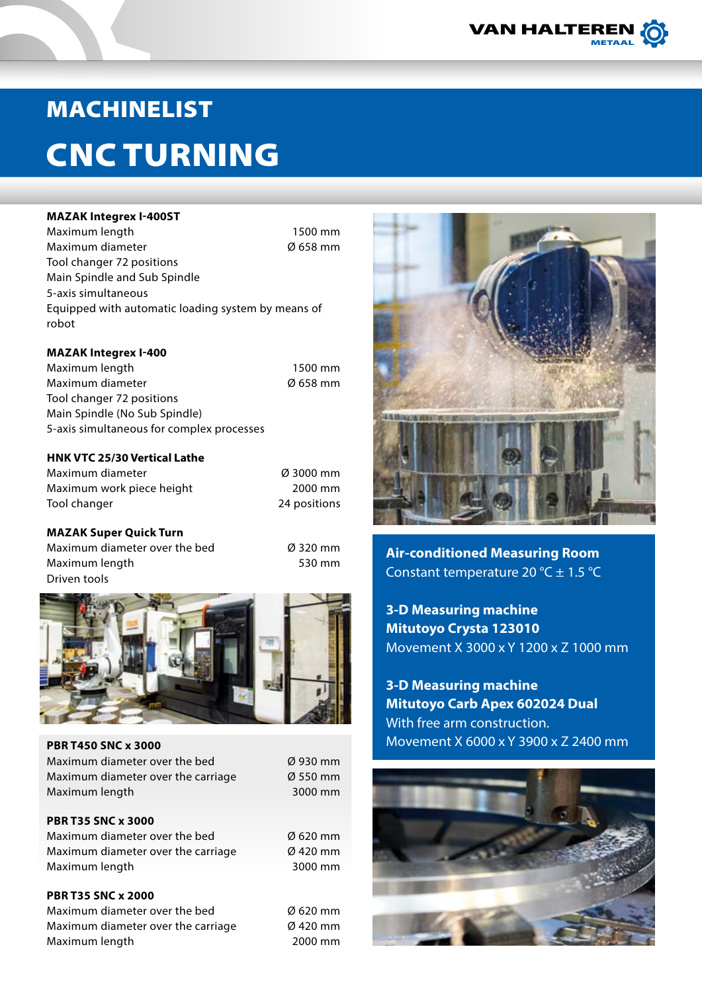

# MACHINELIST

# CNC TURNING

#### **MAZAK Integrex I-400ST**

Maximum length 1500 mm Maximum diameter Ø 658 mm Tool changer 72 positions Main Spindle and Sub Spindle 5-axis simultaneous Equipped with automatic loading system by means of robot

#### **MAZAK Integrex I-400**

Maximum length 1500 mm Maximum diameter Ø 658 mm Tool changer 72 positions Main Spindle (No Sub Spindle) 5-axis simultaneous for complex processes

## **HNK VTC 25/30 Vertical Lathe**

Maximum diameter Ø 3000 mm Maximum work piece height 2000 mm Tool changer 24 positions

## **MAZAK Super Quick Turn**

Maximum diameter over the bed  $\emptyset$  320 mm Maximum length 530 mm Driven tools



| <b>PBR T450 SNC x 3000</b>         |                      |
|------------------------------------|----------------------|
| Maximum diameter over the bed      | $\varnothing$ 930 mm |
| Maximum diameter over the carriage | $\varnothing$ 550 mm |
| Maximum length                     | 3000 mm              |
|                                    |                      |
| <b>PBR T35 SNC x 3000</b>          |                      |
| Maximum diameter over the bed      | $\varnothing$ 620 mm |
| Maximum diameter over the carriage | Ø 420 mm             |
| Maximum length                     | 3000 mm              |
|                                    |                      |
| <b>PBR T35 SNC x 2000</b>          |                      |
| .                                  |                      |

Maximum diameter over the bed Ø 620 mm Maximum diameter over the carriage  $\emptyset$  420 mm Maximum length 2000 mm



**Air-conditioned Measuring Room** Constant temperature 20 °C  $\pm$  1.5 °C

**3-D Measuring machine Mitutoyo Crysta 123010** Movement X 3000 x Y 1200 x Z 1000 mm

**3-D Measuring machine Mitutoyo Carb Apex 602024 Dual** With free arm construction. Movement X 6000 x Y 3900 x Z 2400 mm